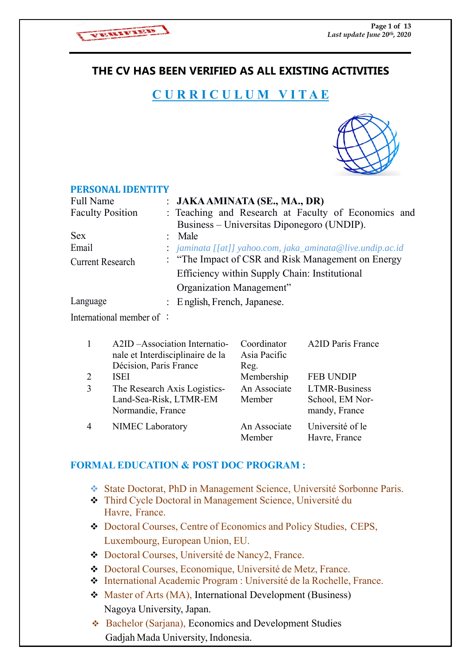

# **THE CV HAS BEEN VERIFIED AS ALL EXISTING ACTIVITIES**

# **C U R R I C U L U M V I T A E**



#### **PERSONAL IDENTITY**

| Full Name               | : $JAKA AMINATA$ (SE., MA., DR)                            |
|-------------------------|------------------------------------------------------------|
| <b>Faculty Position</b> | : Teaching and Research at Faculty of Economics and        |
|                         | Business – Universitas Diponegoro (UNDIP).                 |
| <b>Sex</b>              | $:$ Male                                                   |
| Email                   | : jaminata [[at]] yahoo.com, jaka_aminata@live.undip.ac.id |
| <b>Current Research</b> | : "The Impact of CSR and Risk Management on Energy         |
|                         | Efficiency within Supply Chain: Institutional              |
|                         | Organization Management"                                   |
| Language                | : English, French, Japanese.                               |
|                         |                                                            |

International member of :

|   | A2ID – Association Internatio-<br>nale et Interdisciplinaire de la<br>Décision, Paris France | Coordinator<br>Asia Pacific<br>Reg. | <b>A2ID Paris France</b>                                 |
|---|----------------------------------------------------------------------------------------------|-------------------------------------|----------------------------------------------------------|
| 2 | <b>ISEI</b>                                                                                  | Membership                          | <b>FEB UNDIP</b>                                         |
| 3 | The Research Axis Logistics-<br>Land-Sea-Risk, LTMR-EM<br>Normandie, France                  | An Associate<br>Member              | <b>LTMR-Business</b><br>School, EM Nor-<br>mandy, France |
| 4 | NIMEC Laboratory                                                                             | An Associate<br>Member              | Université of le<br>Havre, France                        |

# **FORMAL EDUCATION & POST DOC PROGRAM :**

- State Doctorat, PhD in Management Science, Université Sorbonne Paris.
- Third Cycle Doctoral in Management Science, Université du Havre, France.
- Doctoral Courses, Centre of Economics and Policy Studies, CEPS, Luxembourg, European Union, EU.
- Doctoral Courses, Université de Nancy2, France.
- Doctoral Courses, Economique, Université de Metz, France.
- International Academic Program : Université de la Rochelle, France.
- Master of Arts (MA), International Development (Business) Nagoya University, Japan.
- Bachelor (Sarjana), Economics and Development Studies Gadjah Mada University, Indonesia.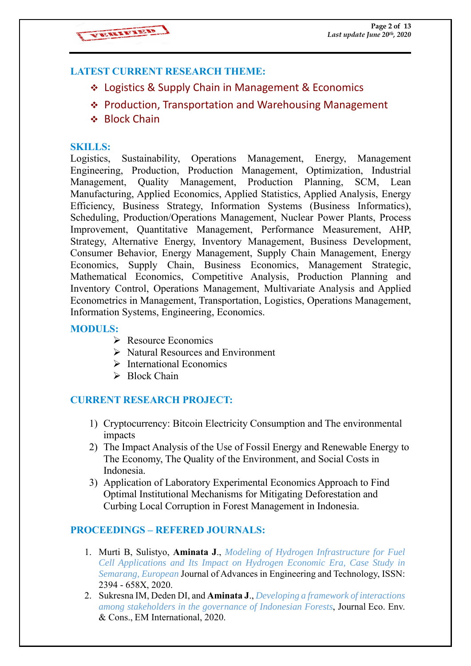# **LATEST CURRENT RESEARCH THEME:**

- Logistics & Supply Chain in Management & Economics
- ❖ Production, Transportation and Warehousing Management
- ❖ Block Chain

### **SKILLS:**

Logistics, Sustainability, Operations Management, Energy, Management Engineering, Production, Production Management, Optimization, Industrial Management, Quality Management, Production Planning, SCM, Lean Manufacturing, Applied Economics, Applied Statistics, Applied Analysis, Energy Efficiency, Business Strategy, Information Systems (Business Informatics), Scheduling, Production/Operations Management, Nuclear Power Plants, Process Improvement, Quantitative Management, Performance Measurement, AHP, Strategy, Alternative Energy, Inventory Management, Business Development, Consumer Behavior, Energy Management, Supply Chain Management, Energy Economics, Supply Chain, Business Economics, Management Strategic, Mathematical Economics, Competitive Analysis, Production Planning and Inventory Control, Operations Management, Multivariate Analysis and Applied Econometrics in Management, Transportation, Logistics, Operations Management, Information Systems, Engineering, Economics.

### **MODULS:**

- **Resource Economics**
- $\triangleright$  Natural Resources and Environment
- $\triangleright$  International Economics
- $\triangleright$  Block Chain

# **CURRENT RESEARCH PROJECT:**

- 1) Cryptocurrency: Bitcoin Electricity Consumption and The environmental impacts
- 2) The Impact Analysis of the Use of Fossil Energy and Renewable Energy to The Economy, The Quality of the Environment, and Social Costs in Indonesia.
- 3) Application of Laboratory Experimental Economics Approach to Find Optimal Institutional Mechanisms for Mitigating Deforestation and Curbing Local Corruption in Forest Management in Indonesia.

# **PROCEEDINGS – REFERED JOURNALS:**

- 1. Murti B, Sulistyo, **Aminata J**., *Modeling of Hydrogen Infrastructure for Fuel Cell Applications and Its Impact on Hydrogen Economic Era, Case Study in Semarang, European* Journal of Advances in Engineering and Technology, ISSN: 2394 - 658X, 2020.
- 2. Sukresna IM, Deden DI, and **Aminata J**., *Developing a framework of interactions among stakeholders in the governance of Indonesian Forests*, Journal Eco. Env. & Cons., EM International, 2020.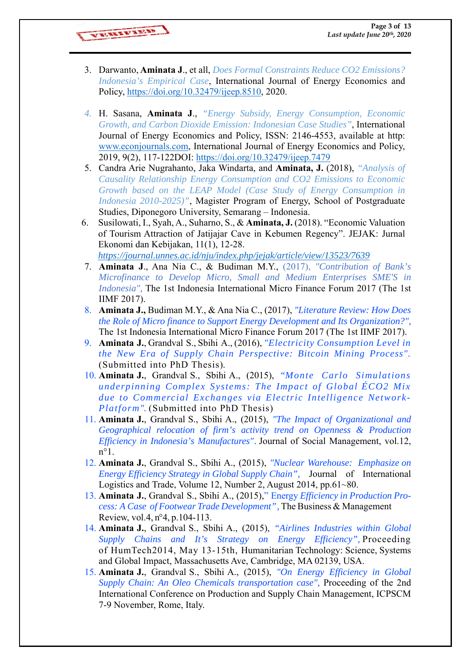VERENTIED

- 3. Darwanto, **Aminata J**., et all, *Does Formal Constraints Reduce CO2 Emissions? Indonesia's Empirical Case*, International Journal of Energy Economics and Policy, https://doi.org/10.32479/ijeep.8510, 2020.
- *4.* H. Sasana, **Aminata J**., *"Energy Subsidy, Energy Consumption, Economic Growth, and Carbon Dioxide Emission: Indonesian Case Studies"*, International Journal of Energy Economics and Policy, ISSN: 2146-4553, available at http: www.econjournals.com, International Journal of Energy Economics and Policy, 2019, 9(2), 117-122DOI: https://doi.org/10.32479/ijeep.7479
- 5. Candra Arie Nugrahanto, Jaka Windarta, and **Aminata, J.** (2018), *"Analysis of Causality Relationship Energy Consumption and CO2 Emissions to Economic Growth based on the LEAP Model (Case Study of Energy Consumption in Indonesia 2010-2025)"*, Magister Program of Energy, School of Postgraduate Studies, Diponegoro University, Semarang – Indonesia.
- 6. Susilowati, I., Syah, A., Suharno, S., & **Aminata, J.** (2018). "Economic Valuation of Tourism Attraction of Jatijajar Cave in Kebumen Regency". JEJAK: Jurnal Ekonomi dan Kebijakan, 11(1), 12-28. *https://journal.unnes.ac.id/nju/index.php/jejak/article/view/13523/7639*
- 7. **Aminata J**., Ana Nia C., & Budiman M.Y., (2017), *"Contribution of Bank's Microfinance to Develop Micro, Small and Medium Enterprises SME'S in Indonesia",* The 1st Indonesia International Micro Finance Forum 2017 (The 1st IIMF 2017).
- 8. **Aminata J.,** Budiman M.Y., & Ana Nia C., (2017), *"Literature Review: How Does the Role of Micro finance to Support Energy Development and Its Organization?",* The 1st Indonesia International Micro Finance Forum 2017 (The 1st IIMF 2017).
- 9. **Aminata J.**, Grandval S., Sbihi A., (2016), *"Electricity Consumption Level in the New Era of Supply Chain Perspective: Bitcoin Mining Process".*  (Submitted into PhD Thesis).
- 10. **Aminata J.**, Grandval S., Sbihi A., (2015), *"Monte Carlo Simulations underpinning Complex Systems: The Impact of Global ÉCO2 Mix due to Commercial Exchanges via Electric Intelligence Network-Platform".* (Submitted into PhD Thesis)
- 11. **Aminata J.**, Grandval S., Sbihi A., (2015), *"The Impact of Organizational and Geographical relocation of firm's activity trend on Openness & Production Efficiency in Indonesia's Manufactures".* Journal of Social Management, vol.12,  $n^{\circ}1$ .
- 12. **Aminata J.**, Grandval S., Sbihi A., (2015), *"Nuclear Warehouse: Emphasize on Energy Efficiency Strategy in Global Supply Chain",* Journal of International Logistics and Trade, Volume 12, Number 2, August 2014, pp.61~80.
- 13. **Aminata J.**, Grandval S., Sbihi A., (2015)," Energy *Efficiency in Production Process: A Case of Footwear Trade Development",* The Business & Management Review, vol.4, n°4, p.104-113.
- 14. **Aminata J.**, Grandval S., Sbihi A., (2015), *"Airlines Industries within Global Supply Chains and It's Strategy on Energy Efficiency",* Proceeding of HumTech2014, May 13-15th, Humanitarian Technology: Science, Systems and Global Impact, Massachusetts Ave, Cambridge, MA 02139, USA.
- 15. **Aminata J.**, Grandval S., Sbihi A., (2015), *"On Energy Efficiency in Global Supply Chain: An Oleo Chemicals transportation case",* Proceeding of the 2nd International Conference on Production and Supply Chain Management, ICPSCM 7-9 November, Rome, Italy.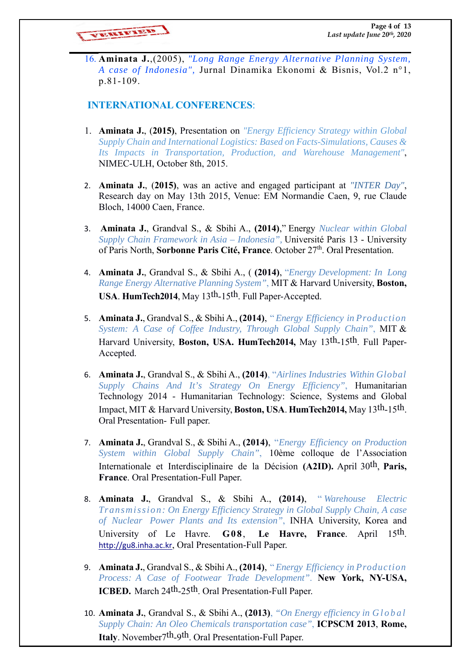VEREIFIELD

16. **Aminata J.**,(2005), *"Long Range Energy Alternative Planning System, A case of Indonesia",* Jurnal Dinamika Ekonomi & Bisnis, Vol.2 n°1, p.81-109.

### **INTERNATIONAL CONFERENCES**:

- 1. **Aminata J.**, (**2015)**, Presentation on *"Energy Efficiency Strategy within Global Supply Chain and International Logistics: Based on Facts-Simulations, Causes & Its Impacts in Transportation, Production, and Warehouse Management"*, NIMEC-ULH, October 8th, 2015.
- 2. **Aminata J.**, (**2015)**, was an active and engaged participant at *"INTER Day"*, Research day on May 13th 2015, Venue: EM Normandie Caen, 9, rue Claude Bloch, 14000 Caen, France.
- 3. **Aminata J.**, Grandval S., & Sbihi A., **(2014)**," Energy *Nuclear within Global Supply Chain Framework in Asia – Indonesia",* Université Paris 13 - University of Paris North, **Sorbonne Paris Cité, France**. October 27th. Oral Presentation.
- 4. **Aminata J.**, Grandval S., & Sbihi A., ( **(2014)**, "*Energy Development: In Long Range Energy Alternative Planning System"*, MIT & Harvard University, **Boston, USA**. **HumTech2014**, May 13th-15th. Full Paper-Accepted.
- 5. **Aminata J.**, Grandval S., & Sbihi A., **(2014)**, " *Energy Efficiency in Production System: A Case of Coffee Industry, Through Global Supply Chain"*, MIT & Harvard University, **Boston, USA. HumTech2014,** May 13th-15th. Full Paper-Accepted.
- 6. **Aminata J.**, Grandval S., & Sbihi A., **(2014)**, "*Airlines Industries Within Global Supply Chains And It's Strategy On Energy Efficiency"*, Humanitarian Technology 2014 - Humanitarian Technology: Science, Systems and Global Impact, MIT & Harvard University, **Boston, USA**. **HumTech2014,** May 13th-15th. Oral Presentation- Full paper.
- 7. **Aminata J.**, Grandval S., & Sbihi A., **(2014)**, "*Energy Efficiency on Production System within Global Supply Chain"*, 10ème colloque de l'Association Internationale et Interdisciplinaire de la Décision **(A2ID).** April 30th, **Paris, France**. Oral Presentation-Full Paper.
- 8. **Aminata J.**, Grandval S., & Sbihi A., **(2014)**, " *Warehouse Electric Transmission: On Energy Efficiency Strategy in Global Supply Chain, A case of Nuclear Power Plants and Its extension"*, INHA University, Korea and University of Le Havre. **G08**, **Le Havre, France**. April 15th. http://gu8.inha.ac.kr, Oral Presentation-Full Paper.
- 9. **Aminata J.**, Grandval S., & Sbihi A., **(2014)**, " *Energy Efficiency in Production Process: A Case of Footwear Trade Development"*. **New York, NY-USA, ICBED.** March 24<sup>th</sup>-25<sup>th</sup>, Oral Presentation-Full Paper.
- 10. **Aminata J.**, Grandval S., & Sbihi A., **(2013)**, *"On Energy efficiency in Global Supply Chain: An Oleo Chemicals transportation case"*, **ICPSCM 2013**, **Rome, Italy**. November7th-9th. Oral Presentation-Full Paper.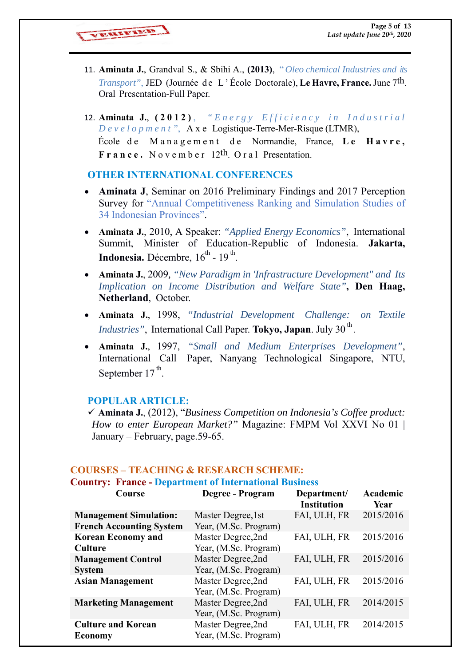VEREIFTED

- 11. **Aminata J.**, Grandval S., & Sbihi A., **(2013)**, " *Oleo chemical Industries and its Transport"*, JED (Journée de L'École Doctorale), **Le Havre, France.** June 7<sup>th</sup>. Oral Presentation-Full Paper.
- 12. **Aminata J.**, (2012), "Energy Efficiency in Industrial *Development"*, A x e Logistique-Terre-Mer-Risque (LTMR), École d e M a n a g e m e n t d e Normandie, France, **Le Havre, France.** N o v e m b e r 12th. O r a l Presentation.

#### **OTHER INTERNATIONAL CONFERENCES**

- **Aminata J**, Seminar on 2016 Preliminary Findings and 2017 Perception Survey for "Annual Competitiveness Ranking and Simulation Studies of 34 Indonesian Provinces".
- **Aminata J.**, 2010, A Speaker: *"Applied Energy Economics"*, International Summit, Minister of Education-Republic of Indonesia. **Jakarta, Indonesia.** Décembre,  $16^{th}$  -  $19^{th}$ .
- **Aminata J.**, 2009*, "New Paradigm in 'Infrastructure Development" and Its Implication on Income Distribution and Welfare State"***, Den Haag, Netherland**, October.
- **Aminata J.**, 1998, *"Industrial Development Challenge: on Textile Industries"*, International Call Paper. Tokyo, Japan. July 30<sup>th</sup>.
- **Aminata J.**, 1997, *"Small and Medium Enterprises Development"*, International Call Paper, Nanyang Technological Singapore, NTU, September  $17<sup>th</sup>$ .

#### **POPULAR ARTICLE:**

 **Aminata J.**, (2012), "*Business Competition on Indonesia's Coffee product: How to enter European Market?"* Magazine: FMPM Vol XXVI No 01 | January – February, page.59-65.

| <b>Country: France - Department of International Business</b> |                                             |                                   |                         |  |
|---------------------------------------------------------------|---------------------------------------------|-----------------------------------|-------------------------|--|
| Course                                                        | Degree - Program                            | Department/<br><b>Institution</b> | Academic<br><b>Year</b> |  |
| <b>Management Simulation:</b>                                 | Master Degree, 1st                          | FAI, ULH, FR                      | 2015/2016               |  |
| <b>French Accounting System</b>                               | Year, (M.Sc. Program)                       |                                   |                         |  |
| <b>Korean Economy and</b>                                     | Master Degree, 2nd                          | FAI, ULH, FR                      | 2015/2016               |  |
| <b>Culture</b>                                                | Year, (M.Sc. Program)                       |                                   |                         |  |
| <b>Management Control</b>                                     | Master Degree,2nd                           | FAI, ULH, FR                      | 2015/2016               |  |
| <b>System</b>                                                 | Year, (M.Sc. Program)                       |                                   |                         |  |
| <b>Asian Management</b>                                       | Master Degree, 2nd<br>Year, (M.Sc. Program) | FAI, ULH, FR                      | 2015/2016               |  |
| <b>Marketing Management</b>                                   | Master Degree,2nd<br>Year, (M.Sc. Program)  | FAI, ULH, FR                      | 2014/2015               |  |
| <b>Culture and Korean</b><br><b>Economy</b>                   | Master Degree,2nd<br>Year, (M.Sc. Program)  | FAI, ULH, FR                      | 2014/2015               |  |

# **COURSES – TEACHING & RESEARCH SCHEME:**

# **Country: France - Department of International Business**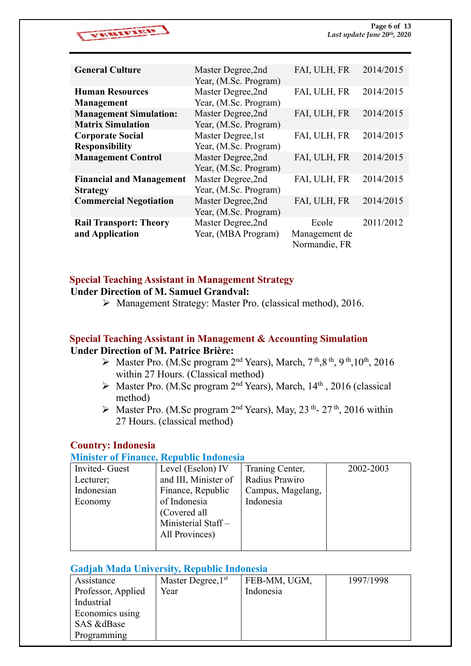

| <b>General Culture</b>          | Master Degree, 2nd    | FAI, ULH, FR  | 2014/2015 |
|---------------------------------|-----------------------|---------------|-----------|
|                                 | Year, (M.Sc. Program) |               |           |
| <b>Human Resources</b>          | Master Degree,2nd     | FAI, ULH, FR  | 2014/2015 |
| Management                      | Year, (M.Sc. Program) |               |           |
| <b>Management Simulation:</b>   | Master Degree, 2nd    | FAI, ULH, FR  | 2014/2015 |
| <b>Matrix Simulation</b>        | Year, (M.Sc. Program) |               |           |
| <b>Corporate Social</b>         | Master Degree, 1st    | FAI, ULH, FR  | 2014/2015 |
| <b>Responsibility</b>           | Year, (M.Sc. Program) |               |           |
| <b>Management Control</b>       | Master Degree,2nd     | FAI, ULH, FR  | 2014/2015 |
|                                 | Year, (M.Sc. Program) |               |           |
| <b>Financial and Management</b> | Master Degree, 2nd    | FAI, ULH, FR  | 2014/2015 |
| <b>Strategy</b>                 | Year, (M.Sc. Program) |               |           |
| <b>Commercial Negotiation</b>   | Master Degree,2nd     | FAI, ULH, FR  | 2014/2015 |
|                                 | Year, (M.Sc. Program) |               |           |
| <b>Rail Transport: Theory</b>   | Master Degree, 2nd    | Ecole         | 2011/2012 |
| and Application                 | Year, (MBA Program)   | Management de |           |
|                                 |                       | Normandie, FR |           |

#### **Special Teaching Assistant in Management Strategy Under Direction of M. Samuel Grandval:**

Management Strategy: Master Pro. (classical method), 2016.

# **Special Teaching Assistant in Management & Accounting Simulation Under Direction of M. Patrice Brière:**

- $\triangleright$  Master Pro. (M.Sc program 2<sup>nd</sup> Years), March, 7<sup>th</sup>, 8<sup>th</sup>, 9<sup>th</sup>, 10<sup>th</sup>, 2016 within 27 Hours. (Classical method)
- $\triangleright$  Master Pro. (M.Sc program 2<sup>nd</sup> Years), March, 14<sup>th</sup>, 2016 (classical method)
- $\triangleright$  Master Pro. (M.Sc program 2<sup>nd</sup> Years), May, 23<sup>th</sup>- 27<sup>th</sup>, 2016 within 27 Hours. (classical method)

# **Country: Indonesia**

#### **Minister of Finance, Republic Indonesia**

| Invited- Guest | Level (Eselon) IV    | Traning Center,   | 2002-2003 |
|----------------|----------------------|-------------------|-----------|
| Lecturer;      | and III, Minister of | Radius Prawiro    |           |
| Indonesian     | Finance, Republic    | Campus, Magelang, |           |
| Economy        | of Indonesia         | Indonesia         |           |
|                | (Covered all         |                   |           |
|                | Ministerial Staff-   |                   |           |
|                | All Provinces)       |                   |           |
|                |                      |                   |           |

#### **Gadjah Mada University, Republic Indonesia**

| Assistance         | Master Degree, 1 <sup>st</sup> | FEB-MM, UGM, | 1997/1998 |
|--------------------|--------------------------------|--------------|-----------|
| Professor, Applied | Year                           | Indonesia    |           |
| Industrial         |                                |              |           |
| Economics using    |                                |              |           |
| SAS &dBase         |                                |              |           |
| Programming        |                                |              |           |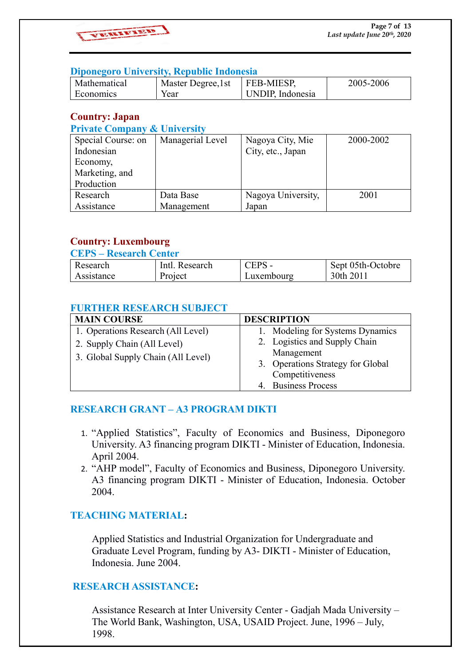

#### **Diponegoro University, Republic Indonesia**

| Mathematical | Master Degree, 1st | <b>FEB-MIESP,</b> | 2005-2006 |
|--------------|--------------------|-------------------|-----------|
| Economics    | Year               | UNDIP. Indonesia  |           |

# **Country: Japan**

#### **Private Company & University**

| Special Course: on | Managerial Level | Nagoya City, Mie   | 2000-2002 |
|--------------------|------------------|--------------------|-----------|
| Indonesian         |                  | City, etc., Japan  |           |
| Economy,           |                  |                    |           |
| Marketing, and     |                  |                    |           |
| Production         |                  |                    |           |
| Research           | Data Base        | Nagoya University, | 2001      |
| Assistance         | Management       | Japan              |           |

# **Country: Luxembourg**

#### **CEPS – Research Center**

| Research   | Intl. Research | CEPS       | Sept 05th-Octobre |
|------------|----------------|------------|-------------------|
| Assistance | Project        | Luxembourg | 30th 2011         |

#### **FURTHER RESEARCH SUBJECT**

| <b>MAIN COURSE</b>                 | <b>DESCRIPTION</b>                |
|------------------------------------|-----------------------------------|
| 1. Operations Research (All Level) | 1. Modeling for Systems Dynamics  |
| 2. Supply Chain (All Level)        | 2. Logistics and Supply Chain     |
| 3. Global Supply Chain (All Level) | Management                        |
|                                    | 3. Operations Strategy for Global |
|                                    | Competitiveness                   |
|                                    | 4. Business Process               |

# **RESEARCH GRANT – A3 PROGRAM DIKTI**

- 1. "Applied Statistics", Faculty of Economics and Business, Diponegoro University. A3 financing program DIKTI - Minister of Education, Indonesia. April 2004.
- 2. "AHP model", Faculty of Economics and Business, Diponegoro University. A3 financing program DIKTI - Minister of Education, Indonesia. October 2004.

# **TEACHING MATERIAL:**

 Applied Statistics and Industrial Organization for Undergraduate and Graduate Level Program, funding by A3- DIKTI - Minister of Education, Indonesia. June 2004.

# **RESEARCH ASSISTANCE:**

 Assistance Research at Inter University Center - Gadjah Mada University – The World Bank, Washington, USA, USAID Project. June, 1996 – July, 1998.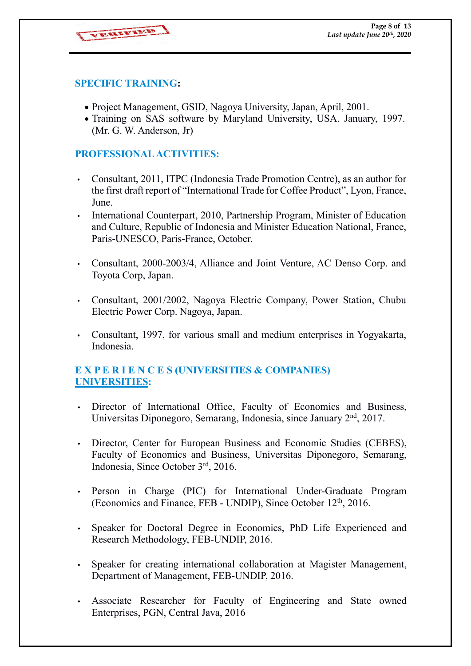VEREINTEED

### **SPECIFIC TRAINING:**

- Project Management, GSID, Nagoya University, Japan, April, 2001.
- Training on SAS software by Maryland University, USA. January, 1997. (Mr. G. W. Anderson, Jr)

### **PROFESSIONAL ACTIVITIES:**

- Consultant, 2011, ITPC (Indonesia Trade Promotion Centre), as an author for the first draft report of "International Trade for Coffee Product", Lyon, France, June.
- International Counterpart, 2010, Partnership Program, Minister of Education and Culture, Republic of Indonesia and Minister Education National, France, Paris-UNESCO, Paris-France, October.
- Consultant, 2000-2003/4, Alliance and Joint Venture, AC Denso Corp. and Toyota Corp, Japan.
- Consultant, 2001/2002, Nagoya Electric Company, Power Station, Chubu Electric Power Corp. Nagoya, Japan.
- Consultant, 1997, for various small and medium enterprises in Yogyakarta, Indonesia.

# **E X P E R I E N C E S (UNIVERSITIES & COMPANIES) UNIVERSITIES:**

- Director of International Office, Faculty of Economics and Business, Universitas Diponegoro, Semarang, Indonesia, since January 2<sup>nd</sup>, 2017.
- Director, Center for European Business and Economic Studies (CEBES), Faculty of Economics and Business, Universitas Diponegoro, Semarang, Indonesia, Since October 3rd, 2016.
- Person in Charge (PIC) for International Under-Graduate Program (Economics and Finance, FEB - UNDIP), Since October 12<sup>th</sup>, 2016.
- Speaker for Doctoral Degree in Economics, PhD Life Experienced and Research Methodology, FEB-UNDIP, 2016.
- Speaker for creating international collaboration at Magister Management, Department of Management, FEB-UNDIP, 2016.
- Associate Researcher for Faculty of Engineering and State owned Enterprises, PGN, Central Java, 2016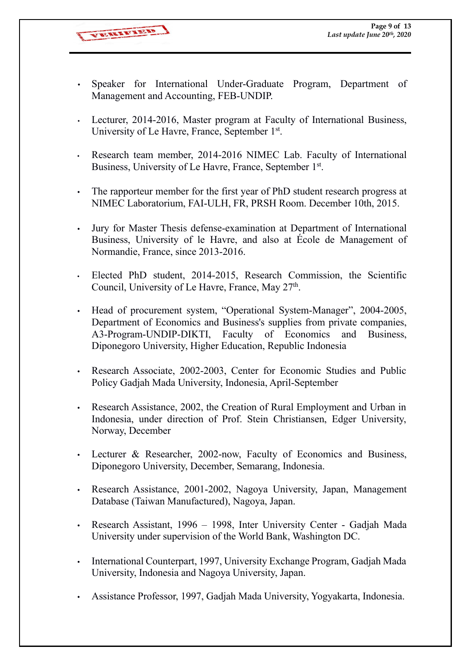VEREIFIELD

- Speaker for International Under-Graduate Program, Department of Management and Accounting, FEB-UNDIP.
- Lecturer, 2014-2016, Master program at Faculty of International Business, University of Le Havre, France, September 1st.
- Research team member, 2014-2016 NIMEC Lab. Faculty of International Business, University of Le Havre, France, September 1st.
- The rapporteur member for the first year of PhD student research progress at NIMEC Laboratorium, FAI-ULH, FR, PRSH Room. December 10th, 2015.
- Jury for Master Thesis defense-examination at Department of International Business, University of le Havre, and also at École de Management of Normandie, France, since 2013-2016.
- Elected PhD student, 2014-2015, Research Commission, the Scientific Council, University of Le Havre, France, May  $27<sup>th</sup>$ .
- Head of procurement system, "Operational System-Manager", 2004-2005, Department of Economics and Business's supplies from private companies, A3-Program-UNDIP-DIKTI, Faculty of Economics and Business, Diponegoro University, Higher Education, Republic Indonesia
- Research Associate, 2002-2003, Center for Economic Studies and Public Policy Gadjah Mada University, Indonesia, April-September
- Research Assistance, 2002, the Creation of Rural Employment and Urban in Indonesia, under direction of Prof. Stein Christiansen, Edger University, Norway, December
- Lecturer & Researcher, 2002-now, Faculty of Economics and Business, Diponegoro University, December, Semarang, Indonesia.
- Research Assistance, 2001-2002, Nagoya University, Japan, Management Database (Taiwan Manufactured), Nagoya, Japan.
- Research Assistant, 1996 1998, Inter University Center Gadjah Mada University under supervision of the World Bank, Washington DC.
- International Counterpart, 1997, University Exchange Program, Gadjah Mada University, Indonesia and Nagoya University, Japan.
- Assistance Professor, 1997, Gadjah Mada University, Yogyakarta, Indonesia.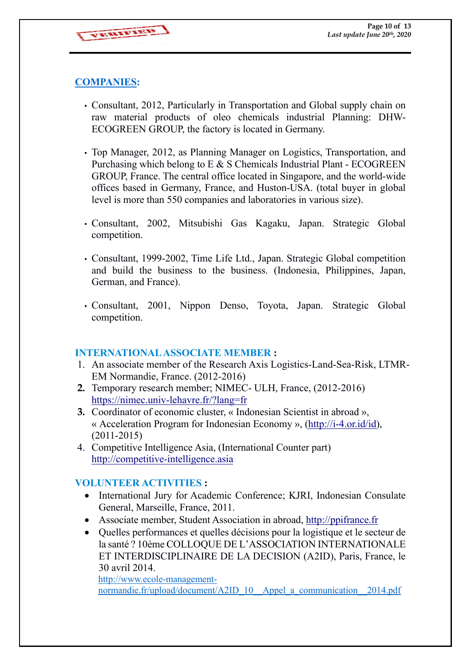VERIFIED

# **COMPANIES:**

- Consultant, 2012, Particularly in Transportation and Global supply chain on raw material products of oleo chemicals industrial Planning: DHW-ECOGREEN GROUP, the factory is located in Germany.
- Top Manager, 2012, as Planning Manager on Logistics, Transportation, and Purchasing which belong to E & S Chemicals Industrial Plant - ECOGREEN GROUP, France. The central office located in Singapore, and the world-wide offices based in Germany, France, and Huston-USA. (total buyer in global level is more than 550 companies and laboratories in various size).
- Consultant, 2002, Mitsubishi Gas Kagaku, Japan. Strategic Global competition.
- Consultant, 1999-2002, Time Life Ltd., Japan. Strategic Global competition and build the business to the business. (Indonesia, Philippines, Japan, German, and France).
- Consultant, 2001, Nippon Denso, Toyota, Japan. Strategic Global competition.

#### **INTERNATIONAL ASSOCIATE MEMBER :**

- 1. An associate member of the Research Axis Logistics-Land-Sea-Risk, LTMR-EM Normandie, France. (2012-2016)
- **2.** Temporary research member; NIMEC- ULH, France, (2012-2016) https://nimec.univ-lehavre.fr/?lang=fr
- **3.** Coordinator of economic cluster, « Indonesian Scientist in abroad », « Acceleration Program for Indonesian Economy », (http://i-4.or.id/id), (2011-2015)
- 4. Competitive Intelligence Asia, (International Counter part) http://competitive-intelligence.asia

# **VOLUNTEER ACTIVITIES :**

- International Jury for Academic Conference; KJRI, Indonesian Consulate General, Marseille, France, 2011.
- Associate member, Student Association in abroad, http://ppifrance.fr
- Quelles performances et quelles décisions pour la logistique et le secteur de la santé ? 10ème COLLOQUE DE L'ASSOCIATION INTERNATIONALE ET INTERDISCIPLINAIRE DE LA DECISION (A2ID), Paris, France, le 30 avril 2014.

http://www.ecole-managementnormandie.fr/upload/document/A2ID\_10\_\_Appel\_a\_communication\_\_2014.pdf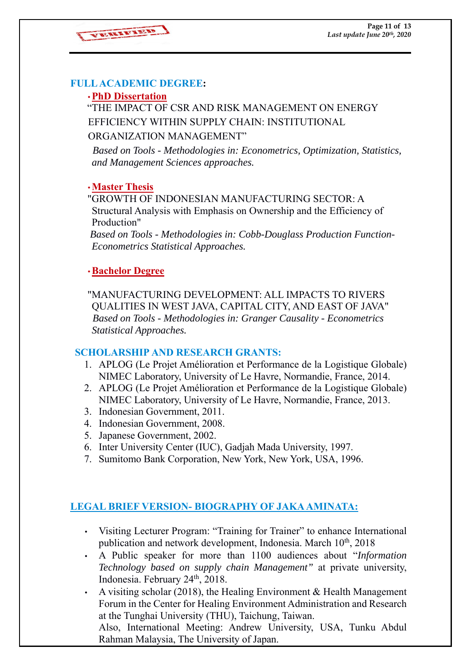

# **FULL ACADEMIC DEGREE:**

# •**PhD Dissertation**

 "THE IMPACT OF CSR AND RISK MANAGEMENT ON ENERGY EFFICIENCY WITHIN SUPPLY CHAIN: INSTITUTIONAL

# ORGANIZATION MANAGEMENT"

 *Based on Tools - Methodologies in: Econometrics, Optimization, Statistics, and Management Sciences approaches.* 

# •**Master Thesis**

"GROWTH OF INDONESIAN MANUFACTURING SECTOR: A Structural Analysis with Emphasis on Ownership and the Efficiency of Production"

 *Based on Tools - Methodologies in: Cobb-Douglass Production Function-Econometrics Statistical Approaches.* 

# •**Bachelor Degree**

"MANUFACTURING DEVELOPMENT: ALL IMPACTS TO RIVERS QUALITIES IN WEST JAVA, CAPITAL CITY, AND EAST OF JAVA"  *Based on Tools - Methodologies in: Granger Causality - Econometrics Statistical Approaches.*

# **SCHOLARSHIP AND RESEARCH GRANTS:**

- 1. APLOG (Le Projet Amélioration et Performance de la Logistique Globale) NIMEC Laboratory, University of Le Havre, Normandie, France, 2014.
- 2. APLOG (Le Projet Amélioration et Performance de la Logistique Globale) NIMEC Laboratory, University of Le Havre, Normandie, France, 2013.
- 3. Indonesian Government, 2011.
- 4. Indonesian Government, 2008.
- 5. Japanese Government, 2002.
- 6. Inter University Center (IUC), Gadjah Mada University, 1997.
- 7. Sumitomo Bank Corporation, New York, New York, USA, 1996.

# **LEGAL BRIEF VERSION- BIOGRAPHY OF JAKA AMINATA:**

- Visiting Lecturer Program: "Training for Trainer" to enhance International publication and network development, Indonesia. March  $10<sup>th</sup>$ , 2018
- A Public speaker for more than 1100 audiences about "*Information Technology based on supply chain Management"* at private university, Indonesia. February 24th, 2018.
- A visiting scholar (2018), the Healing Environment & Health Management Forum in the Center for Healing Environment Administration and Research at the Tunghai University (THU), Taichung, Taiwan.

Also, International Meeting: Andrew University, USA, Tunku Abdul Rahman Malaysia, The University of Japan.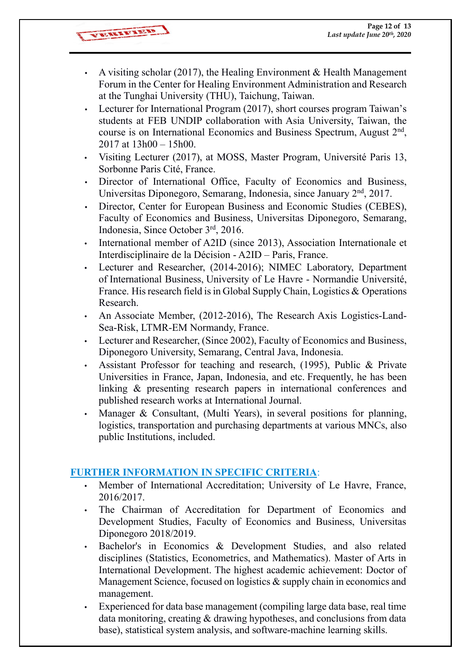VERENT HEAD

- A visiting scholar (2017), the Healing Environment & Health Management Forum in the Center for Healing Environment Administration and Research at the Tunghai University (THU), Taichung, Taiwan.
- Lecturer for International Program (2017), short courses program Taiwan's students at FEB UNDIP collaboration with Asia University, Taiwan, the course is on International Economics and Business Spectrum, August 2nd, 2017 at 13h00 – 15h00.
- Visiting Lecturer (2017), at MOSS, Master Program, Université Paris 13, Sorbonne Paris Cité, France.
- Director of International Office, Faculty of Economics and Business, Universitas Diponegoro, Semarang, Indonesia, since January 2nd, 2017.
- Director, Center for European Business and Economic Studies (CEBES), Faculty of Economics and Business, Universitas Diponegoro, Semarang, Indonesia, Since October 3rd, 2016.
- International member of A2ID (since 2013), Association Internationale et Interdisciplinaire de la Décision - A2ID – Paris, France.
- Lecturer and Researcher, (2014-2016); NIMEC Laboratory, Department of International Business, University of Le Havre - Normandie Université, France. His research field is in Global Supply Chain, Logistics & Operations Research.
- An Associate Member, (2012-2016), The Research Axis Logistics-Land-Sea-Risk, LTMR-EM Normandy, France.
- Lecturer and Researcher, (Since 2002), Faculty of Economics and Business, Diponegoro University, Semarang, Central Java, Indonesia.
- Assistant Professor for teaching and research, (1995), Public & Private Universities in France, Japan, Indonesia, and etc. Frequently, he has been linking & presenting research papers in international conferences and published research works at International Journal.
- Manager & Consultant, (Multi Years), in several positions for planning, logistics, transportation and purchasing departments at various MNCs, also public Institutions, included.

# **FURTHER INFORMATION IN SPECIFIC CRITERIA**:

- Member of International Accreditation; University of Le Havre, France, 2016/2017.
- The Chairman of Accreditation for Department of Economics and Development Studies, Faculty of Economics and Business, Universitas Diponegoro 2018/2019.
- Bachelor's in Economics & Development Studies, and also related disciplines (Statistics, Econometrics, and Mathematics). Master of Arts in International Development. The highest academic achievement: Doctor of Management Science, focused on logistics & supply chain in economics and management.
- Experienced for data base management (compiling large data base, real time data monitoring, creating & drawing hypotheses, and conclusions from data base), statistical system analysis, and software-machine learning skills.